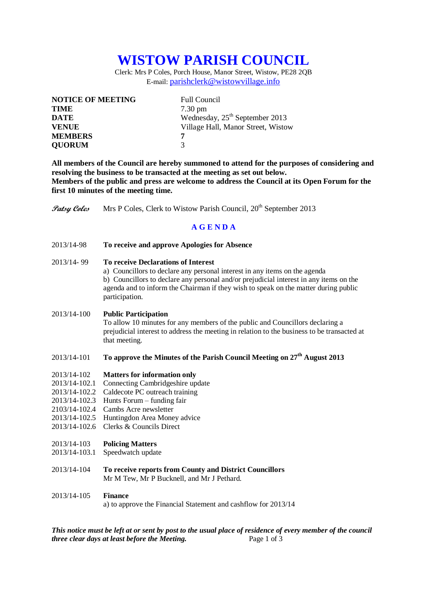# **WISTOW PARISH COUNCIL**

Clerk: Mrs P Coles, Porch House, Manor Street, Wistow, PE28 2QB E-mail: [parishclerk@wistowvillage.info](mailto:parishclerk@wistowvillage.info)

| <b>NOTICE OF MEETING</b> | <b>Full Council</b>                |
|--------------------------|------------------------------------|
| <b>TIME</b>              | $7.30 \text{ pm}$                  |
| <b>DATE</b>              | Wednesday, $25th$ September 2013   |
| <b>VENUE</b>             | Village Hall, Manor Street, Wistow |
| <b>MEMBERS</b>           | 7                                  |
| <b>QUORUM</b>            | 3                                  |

**All members of the Council are hereby summoned to attend for the purposes of considering and resolving the business to be transacted at the meeting as set out below. Members of the public and press are welcome to address the Council at its Open Forum for the first 10 minutes of the meeting time.**

**Patsy Coles** Mrs P Coles, Clerk to Wistow Parish Council, 20<sup>th</sup> September 2013

# **A G E N D A**

2013/14-98 **To receive and approve Apologies for Absence**

## 2013/14- 99 **To receive Declarations of Interest**

a) Councillors to declare any personal interest in any items on the agenda b) Councillors to declare any personal and/or prejudicial interest in any items on the agenda and to inform the Chairman if they wish to speak on the matter during public participation.

#### 2013/14-100 **Public Participation**

To allow 10 minutes for any members of the public and Councillors declaring a prejudicial interest to address the meeting in relation to the business to be transacted at that meeting.

# 2013/14-101 **To approve the Minutes of the Parish Council Meeting on 27th August 2013**

#### 2013/14-102 **Matters for information only**

- 2013/14-102.1 Connecting Cambridgeshire update
- 2013/14-102.2 Caldecote PC outreach training
- 2013/14-102.3 Hunts Forum funding fair
- 2103/14-102.4 Cambs Acre newsletter
- 2013/14-102.5 Huntingdon Area Money advice
- 2013/14-102.6 Clerks & Councils Direct

#### 2013/14-103 **Policing Matters**

- 2013/14-103.1 Speedwatch update
- 2013/14-104 **To receive reports from County and District Councillors** Mr M Tew, Mr P Bucknell, and Mr J Pethard.
- 2013/14-105 **Finance**

a) to approve the Financial Statement and cashflow for 2013/14

*This notice must be left at or sent by post to the usual place of residence of every member of the council three clear days at least before the Meeting.* Page 1 of 3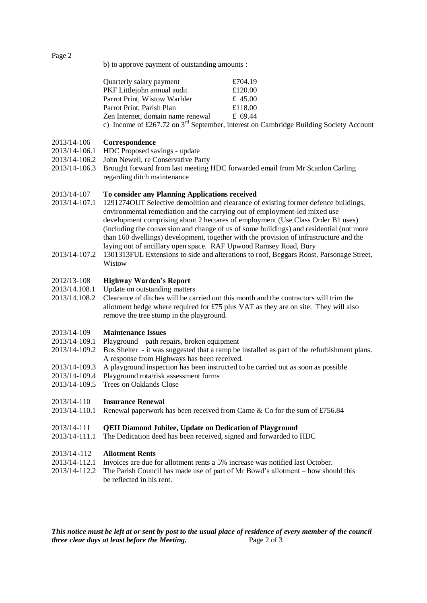Page 2

b) to approve payment of outstanding amounts :

| Quarterly salary payment          | £704.19                                                                                    |
|-----------------------------------|--------------------------------------------------------------------------------------------|
| PKF Littlejohn annual audit       | £120.00                                                                                    |
| Parrot Print, Wistow Warbler      | £ 45.00                                                                                    |
| Parrot Print, Parish Plan         | £118.00                                                                                    |
| Zen Internet, domain name renewal | £ 69.44                                                                                    |
|                                   | c) Income of £267.72 on $3^{rd}$ September, interest on Cambridge Building Society Account |

### 2013/14-106 **Correspondence**

- 2013/14-106.1 HDC Proposed savings update
- 2013/14-106.2 John Newell, re Conservative Party
- 2013/14-106.3 Brought forward from last meeting HDC forwarded email from Mr Scanlon Carling regarding ditch maintenance

### 2013/14-107 **To consider any Planning Applications received**

- 2013/14-107.1 1291274OUT Selective demolition and clearance of existing former defence buildings, environmental remediation and the carrying out of employment-led mixed use development comprising about 2 hectares of employment (Use Class Order B1 uses) (including the conversion and change of us of some buildings) and residential (not more than 160 dwellings) development, together with the provision of infrastructure and the laying out of ancillary open space. RAF Upwood Ramsey Road, Bury
- 2013/14-107.2 1301313FUL Extensions to side and alterations to roof, Beggars Roost, Parsonage Street, Wistow

### 2012/13-108 **Highway Warden's Report**

- 2013/14.108.1 Update on outstanding matters
- 2013/14.108.2 Clearance of ditches will be carried out this month and the contractors will trim the allotment hedge where required for £75 plus VAT as they are on site. They will also remove the tree stump in the playground.

### 2013/14-109 **Maintenance Issues**

- 2013/14-109.1 Playground path repairs, broken equipment
- 2013/14-109.2 Bus Shelter it was suggested that a ramp be installed as part of the refurbishment plans. A response from Highways has been received.
- 2013/14-109.3 A playground inspection has been instructed to be carried out as soon as possible
- 2013/14-109.4 Playground rota/risk assessment forms
- 2013/14-109.5 Trees on Oaklands Close

# 2013/14-110 **Insurance Renewal**

2013/14-110.1 Renewal paperwork has been received from Came & Co for the sum of £756.84

# 2013/14-111 **QEII Diamond Jubilee, Update on Dedication of Playground**

2013/14-111.1 The Dedication deed has been received, signed and forwarded to HDC

#### 2013/14 **-**112 **Allotment Rents**

- 2013/14-112.1 Invoices are due for allotment rents a 5% increase was notified last October.
- 2013/14-112.2 The Parish Council has made use of part of Mr Bowd's allotment how should this be reflected in his rent.

*This notice must be left at or sent by post to the usual place of residence of every member of the council three clear days at least before the Meeting.* Page 2 of 3